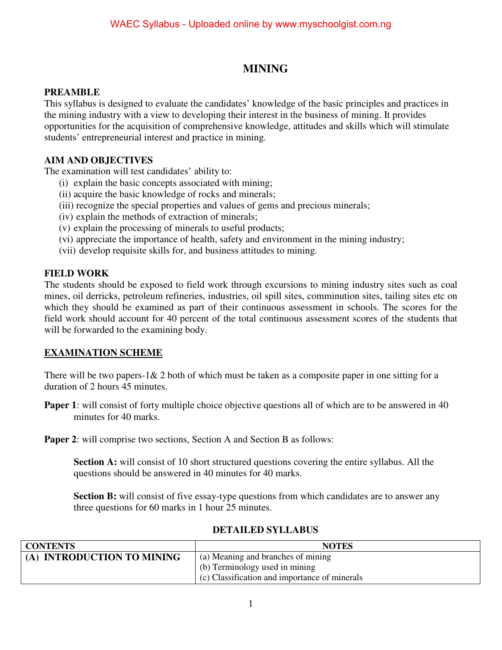# **MINING**

#### **PREAMBLE**

This syllabus is designed to evaluate the candidates' knowledge of the basic principles and practices in the mining industry with a view to developing their interest in the business of mining. It provides opportunities for the acquisition of comprehensive knowledge, attitudes and skills which will stimulate students' entrepreneurial interest and practice in mining.

#### **AIM AND OBJECTIVES**

The examination will test candidates' ability to:

- (i) explain the basic concepts associated with mining;
- (ii) acquire the basic knowledge of rocks and minerals;
- (iii) recognize the special properties and values of gems and precious minerals;
- (iv) explain the methods of extraction of minerals;
- (v) explain the processing of minerals to useful products;
- (vi) appreciate the importance of health, safety and environment in the mining industry;
- (vii) develop requisite skills for, and business attitudes to mining.

#### **FIELD WORK**

The students should be exposed to field work through excursions to mining industry sites such as coal mines, oil derricks, petroleum refineries, industries, oil spill sites, comminution sites, tailing sites etc on which they should be examined as part of their continuous assessment in schools. The scores for the field work should account for 40 percent of the total continuous assessment scores of the students that will be forwarded to the examining body.

### **EXAMINATION SCHEME**

There will be two papers-1 & 2 both of which must be taken as a composite paper in one sitting for a duration of 2 hours 45 minutes.

**Paper 1**: will consist of forty multiple choice objective questions all of which are to be answered in 40 minutes for 40 marks.

**Paper 2**: will comprise two sections, Section A and Section B as follows:

**Section A:** will consist of 10 short structured questions covering the entire syllabus. All the questions should be answered in 40 minutes for 40 marks.

**Section B:** will consist of five essay-type questions from which candidates are to answer any three questions for 60 marks in 1 hour 25 minutes.

| <b>CONTENTS</b>            | <b>NOTES</b>                                  |
|----------------------------|-----------------------------------------------|
| (A) INTRODUCTION TO MINING | (a) Meaning and branches of mining            |
|                            | (b) Terminology used in mining                |
|                            | (c) Classification and importance of minerals |

#### **DETAILED SYLLABUS**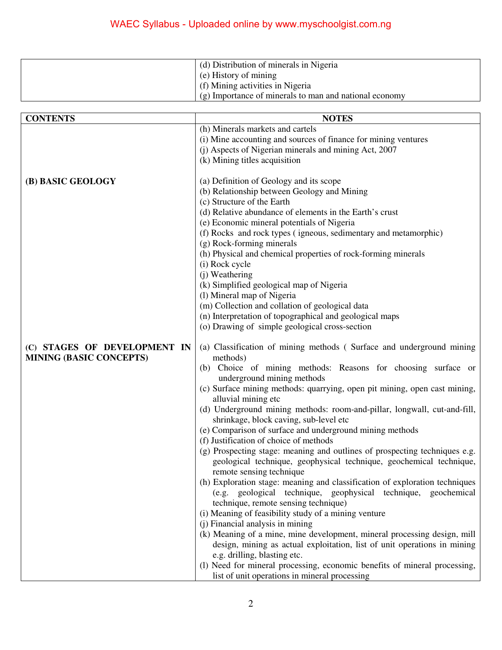| (d) Distribution of minerals in Nigeria                |
|--------------------------------------------------------|
| $(e)$ History of mining                                |
| (f) Mining activities in Nigeria                       |
| (g) Importance of minerals to man and national economy |

| <b>CONTENTS</b>                | <b>NOTES</b>                                                                                                       |
|--------------------------------|--------------------------------------------------------------------------------------------------------------------|
|                                | (h) Minerals markets and cartels                                                                                   |
|                                | (i) Mine accounting and sources of finance for mining ventures                                                     |
|                                | (j) Aspects of Nigerian minerals and mining Act, 2007                                                              |
|                                | (k) Mining titles acquisition                                                                                      |
|                                |                                                                                                                    |
| (B) BASIC GEOLOGY              | (a) Definition of Geology and its scope                                                                            |
|                                | (b) Relationship between Geology and Mining                                                                        |
|                                | (c) Structure of the Earth                                                                                         |
|                                | (d) Relative abundance of elements in the Earth's crust                                                            |
|                                | (e) Economic mineral potentials of Nigeria                                                                         |
|                                | (f) Rocks and rock types (igneous, sedimentary and metamorphic)                                                    |
|                                | (g) Rock-forming minerals                                                                                          |
|                                | (h) Physical and chemical properties of rock-forming minerals                                                      |
|                                | (i) Rock cycle                                                                                                     |
|                                | (j) Weathering                                                                                                     |
|                                | (k) Simplified geological map of Nigeria                                                                           |
|                                | (1) Mineral map of Nigeria                                                                                         |
|                                | (m) Collection and collation of geological data                                                                    |
|                                | (n) Interpretation of topographical and geological maps                                                            |
|                                | (o) Drawing of simple geological cross-section                                                                     |
| (C) STAGES OF DEVELOPMENT IN   | (a) Classification of mining methods (Surface and underground mining                                               |
| <b>MINING (BASIC CONCEPTS)</b> | methods)                                                                                                           |
|                                | (b) Choice of mining methods: Reasons for choosing surface or<br>underground mining methods                        |
|                                | (c) Surface mining methods: quarrying, open pit mining, open cast mining,<br>alluvial mining etc                   |
|                                | (d) Underground mining methods: room-and-pillar, longwall, cut-and-fill,<br>shrinkage, block caving, sub-level etc |
|                                | (e) Comparison of surface and underground mining methods                                                           |
|                                | (f) Justification of choice of methods                                                                             |
|                                | (g) Prospecting stage: meaning and outlines of prospecting techniques e.g.                                         |
|                                | geological technique, geophysical technique, geochemical technique,<br>remote sensing technique                    |
|                                | (h) Exploration stage: meaning and classification of exploration techniques                                        |
|                                | (e.g. geological technique, geophysical technique, geochemical                                                     |
|                                | technique, remote sensing technique)                                                                               |
|                                | (i) Meaning of feasibility study of a mining venture                                                               |
|                                | (j) Financial analysis in mining                                                                                   |
|                                | (k) Meaning of a mine, mine development, mineral processing design, mill                                           |
|                                | design, mining as actual exploitation, list of unit operations in mining                                           |
|                                | e.g. drilling, blasting etc.                                                                                       |
|                                | (l) Need for mineral processing, economic benefits of mineral processing,                                          |
|                                | list of unit operations in mineral processing                                                                      |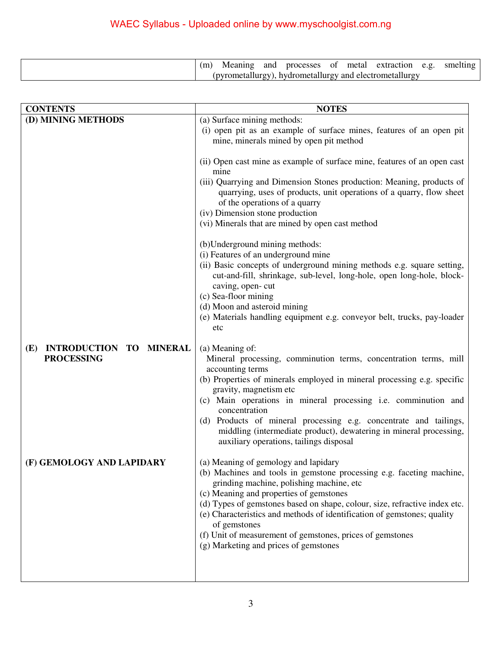# WAEC Syllabus - Uploaded online by www.myschoolgist.com.ng

|  | Meaning | and |  | processes of metal extraction                           | e.g. smelting |
|--|---------|-----|--|---------------------------------------------------------|---------------|
|  |         |     |  | (pyrometallurgy), hydrometallurgy and electrometallurgy |               |

| <b>CONTENTS</b>                                 | <b>NOTES</b>                                                                                                                                                                   |
|-------------------------------------------------|--------------------------------------------------------------------------------------------------------------------------------------------------------------------------------|
| (D) MINING METHODS                              | (a) Surface mining methods:                                                                                                                                                    |
|                                                 | (i) open pit as an example of surface mines, features of an open pit<br>mine, minerals mined by open pit method                                                                |
|                                                 | (ii) Open cast mine as example of surface mine, features of an open cast<br>mine                                                                                               |
|                                                 | (iii) Quarrying and Dimension Stones production: Meaning, products of<br>quarrying, uses of products, unit operations of a quarry, flow sheet<br>of the operations of a quarry |
|                                                 | (iv) Dimension stone production                                                                                                                                                |
|                                                 | (vi) Minerals that are mined by open cast method                                                                                                                               |
|                                                 | (b) Underground mining methods:                                                                                                                                                |
|                                                 | (i) Features of an underground mine<br>(ii) Basic concepts of underground mining methods e.g. square setting,                                                                  |
|                                                 | cut-and-fill, shrinkage, sub-level, long-hole, open long-hole, block-<br>caving, open-cut                                                                                      |
|                                                 | (c) Sea-floor mining                                                                                                                                                           |
|                                                 | (d) Moon and asteroid mining                                                                                                                                                   |
|                                                 | (e) Materials handling equipment e.g. conveyor belt, trucks, pay-loader<br>etc                                                                                                 |
| <b>INTRODUCTION TO</b><br><b>MINERAL</b><br>(E) | (a) Meaning of:                                                                                                                                                                |
| <b>PROCESSING</b>                               | Mineral processing, comminution terms, concentration terms, mill<br>accounting terms                                                                                           |
|                                                 | (b) Properties of minerals employed in mineral processing e.g. specific                                                                                                        |
|                                                 | gravity, magnetism etc                                                                                                                                                         |
|                                                 | (c) Main operations in mineral processing i.e. comminution and<br>concentration                                                                                                |
|                                                 | (d) Products of mineral processing e.g. concentrate and tailings,                                                                                                              |
|                                                 | middling (intermediate product), dewatering in mineral processing,<br>auxiliary operations, tailings disposal                                                                  |
| (F) GEMOLOGY AND LAPIDARY                       | (a) Meaning of gemology and lapidary<br>(b) Machines and tools in gemstone processing e.g. faceting machine,                                                                   |
|                                                 | grinding machine, polishing machine, etc<br>(c) Meaning and properties of gemstones                                                                                            |
|                                                 | (d) Types of gemstones based on shape, colour, size, refractive index etc.                                                                                                     |
|                                                 | (e) Characteristics and methods of identification of gemstones; quality<br>of gemstones                                                                                        |
|                                                 | (f) Unit of measurement of gemstones, prices of gemstones                                                                                                                      |
|                                                 | (g) Marketing and prices of gemstones                                                                                                                                          |
|                                                 |                                                                                                                                                                                |
|                                                 |                                                                                                                                                                                |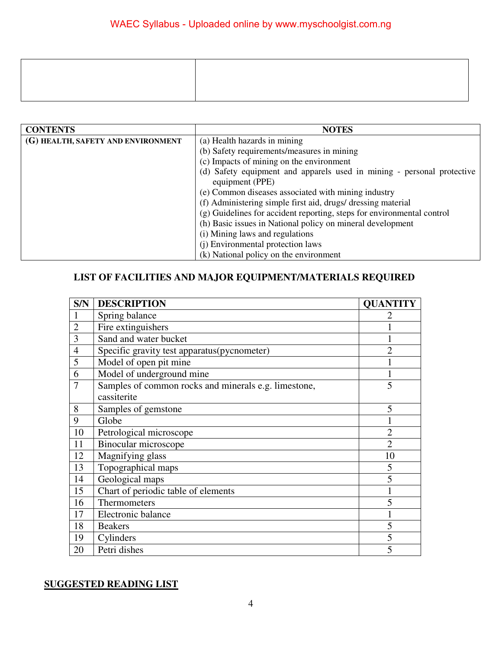| <b>CONTENTS</b>                    | <b>NOTES</b>                                                           |  |  |  |  |  |
|------------------------------------|------------------------------------------------------------------------|--|--|--|--|--|
| (G) HEALTH, SAFETY AND ENVIRONMENT | (a) Health hazards in mining                                           |  |  |  |  |  |
|                                    | (b) Safety requirements/measures in mining                             |  |  |  |  |  |
|                                    | (c) Impacts of mining on the environment                               |  |  |  |  |  |
|                                    | (d) Safety equipment and apparels used in mining - personal protective |  |  |  |  |  |
|                                    | equipment (PPE)                                                        |  |  |  |  |  |
|                                    | (e) Common diseases associated with mining industry                    |  |  |  |  |  |
|                                    | (f) Administering simple first aid, drugs/dressing material            |  |  |  |  |  |
|                                    | (g) Guidelines for accident reporting, steps for environmental control |  |  |  |  |  |
|                                    | (h) Basic issues in National policy on mineral development             |  |  |  |  |  |
|                                    | (i) Mining laws and regulations                                        |  |  |  |  |  |
|                                    | (j) Environmental protection laws                                      |  |  |  |  |  |
|                                    | (k) National policy on the environment                                 |  |  |  |  |  |

# **LIST OF FACILITIES AND MAJOR EQUIPMENT/MATERIALS REQUIRED**

| S/N            | <b>DESCRIPTION</b>                                   | <b>QUANTITY</b> |
|----------------|------------------------------------------------------|-----------------|
|                | Spring balance                                       |                 |
| $\overline{2}$ | Fire extinguishers                                   |                 |
| 3              | Sand and water bucket                                |                 |
| 4              | Specific gravity test apparatus(pycnometer)          | $\overline{2}$  |
| 5              | Model of open pit mine                               |                 |
| 6              | Model of underground mine                            |                 |
| 7              | Samples of common rocks and minerals e.g. limestone, | 5               |
|                | cassiterite                                          |                 |
| 8              | Samples of gemstone                                  | 5               |
| 9              | Globe                                                |                 |
| 10             | Petrological microscope                              | $\overline{2}$  |
| 11             | Binocular microscope                                 | $\overline{2}$  |
| 12             | Magnifying glass                                     | 10              |
| 13             | Topographical maps                                   | 5               |
| 14             | Geological maps                                      | 5               |
| 15             | Chart of periodic table of elements                  | 1               |
| 16             | Thermometers                                         | 5               |
| 17             | Electronic balance                                   |                 |
| 18             | <b>Beakers</b>                                       | 5               |
| 19             | Cylinders                                            | 5               |
| 20             | Petri dishes                                         | 5               |

## **SUGGESTED READING LIST**